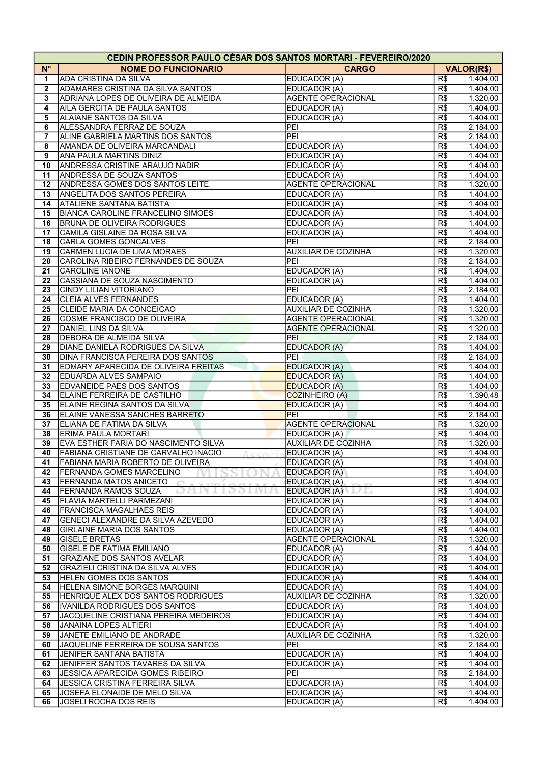| <b>CEDIN PROFESSOR PAULO CESAR DOS SANTOS MORTARI - FEVEREIRO/2020</b> |                                                                       |                              |            |                      |  |  |  |
|------------------------------------------------------------------------|-----------------------------------------------------------------------|------------------------------|------------|----------------------|--|--|--|
| $N^{\circ}$                                                            | <b>NOME DO FUNCIONARIO</b>                                            | <b>CARGO</b>                 |            | <b>VALOR(R\$)</b>    |  |  |  |
| 1                                                                      | <b>ADA CRISTINA DA SILVA</b>                                          | EDUCADOR (A)                 | R\$        | 1.404,00             |  |  |  |
| $\overline{2}$                                                         | <b>ADAMARES CRISTINA DA SILVA SANTOS</b>                              | EDUCADOR (A)                 | R\$        | 1.404,00             |  |  |  |
| 3                                                                      | ADRIANA LOPES DE OLIVEIRA DE ALMEIDA                                  | <b>AGENTE OPERACIONAL</b>    | R\$        | 1.320,00             |  |  |  |
| $\overline{\mathbf{4}}$                                                | AILA GERCITA DE PAULA SANTOS                                          | EDUCADOR (A)                 | R\$        | 1.404,00             |  |  |  |
| 5                                                                      | ALAIANE SANTOS DA SILVA                                               | EDUCADOR (A)                 | R\$        | 1.404,00             |  |  |  |
| 6                                                                      | ALESSANDRA FERRAZ DE SOUZA                                            | PEI                          | R\$        | 2.184,00             |  |  |  |
| 7                                                                      | ALINE GABRIELA MARTINS DOS SANTOS                                     | PEI                          | R\$        | 2.184,00             |  |  |  |
| 8                                                                      | AMANDA DE OLIVEIRA MARCANDALI                                         | EDUCADOR (A)                 | R\$        | 1.404,00             |  |  |  |
| 9                                                                      | ANA PAULA MARTINS DINIZ                                               | EDUCADOR (A)                 | R\$        | 1.404,00             |  |  |  |
| 10                                                                     | <b>ANDRESSA CRISTINE ARAUJO NADIR</b>                                 | EDUCADOR (A)                 | R\$        | 1.404,00             |  |  |  |
| 11                                                                     | <b>ANDRESSA DE SOUZA SANTOS</b>                                       | EDUCADOR (A)                 | R\$        | 1.404,00             |  |  |  |
| $12 \,$                                                                | <b>ANDRESSA GOMES DOS SANTOS LEITE</b>                                | <b>AGENTE OPERACIONAL</b>    | R\$        | 1.320,00             |  |  |  |
| 13<br>14                                                               | <b>ANGELITA DOS SANTOS PEREIRA</b><br><b>ATALIENE SANTANA BATISTA</b> | EDUCADOR (A)<br>EDUCADOR (A) | R\$<br>R\$ | 1.404,00<br>1.404,00 |  |  |  |
| 15                                                                     | <b>BIANCA CAROLINE FRANCELINO SIMOES</b>                              |                              | R\$        |                      |  |  |  |
| 16                                                                     | <b>BRUNA DE OLIVEIRA RODRIGUES</b>                                    | EDUCADOR (A)<br>EDUCADOR (A) | R\$        | 1.404,00<br>1.404,00 |  |  |  |
| 17                                                                     | CAMILA GISLAINE DA ROSA SILVA                                         | EDUCADOR (A)                 | R\$        | 1.404,00             |  |  |  |
| 18                                                                     | <b>CARLA GOMES GONCALVES</b>                                          | PEI                          | R\$        | 2.184,00             |  |  |  |
| 19                                                                     | CARMEN LUCIA DE LIMA MORAES                                           | <b>AUXILIAR DE COZINHA</b>   | R\$        | 1.320,00             |  |  |  |
| 20                                                                     | CAROLINA RIBEIRO FERNANDES DE SOUZA                                   | PEI                          | R\$        | 2.184,00             |  |  |  |
| 21                                                                     | <b>CAROLINE IANONE</b>                                                | EDUCADOR (A)                 | R\$        | 1.404,00             |  |  |  |
| 22                                                                     | CASSIANA DE SOUZA NASCIMENTO                                          | EDUCADOR (A)                 | R\$        | 1.404,00             |  |  |  |
| 23                                                                     | <b>CINDY LILIAN VITORIANO</b>                                         | PEI                          | R\$        | 2.184,00             |  |  |  |
| 24                                                                     | <b>CLEIA ALVES FERNANDES</b>                                          | EDUCADOR (A)                 | R\$        | 1.404,00             |  |  |  |
| 25                                                                     | <b>CLEIDE MARIA DA CONCEICAO</b>                                      | <b>AUXILIAR DE COZINHA</b>   | R\$        | 1.320,00             |  |  |  |
| 26                                                                     | COSME FRANCISCO DE OLIVEIRA                                           | <b>AGENTE OPERACIONAL</b>    | R\$        | 1.320,00             |  |  |  |
| 27                                                                     | DANIEL LINS DA SILVA                                                  | <b>AGENTE OPERACIONAL</b>    | R\$        | 1.320,00             |  |  |  |
| 28                                                                     | DEBORA DE ALMEIDA SILVA                                               | PEI                          | R\$        | 2.184,00             |  |  |  |
| 29                                                                     | DIANE DANIELA RODRIGUES DA SILVA                                      | <b>EDUCADOR (A)</b>          | R\$        | 1.404,00             |  |  |  |
| 30                                                                     | <b>DINA FRANCISCA PEREIRA DOS SANTOS</b>                              | <b>PEL</b>                   | R\$        | 2.184,00             |  |  |  |
| 31                                                                     | <b>EDMARY APARECIDA DE OLIVEIRA FREITAS</b>                           | <b>EDUCADOR (A)</b>          | R\$        | 1.404,00             |  |  |  |
| 32                                                                     | <b>EDUARDA ALVES SAMPAIO</b>                                          | <b>EDUCADOR (A)</b>          | R\$        | 1.404,00             |  |  |  |
| 33                                                                     | <b>EDVANEIDE PAES DOS SANTOS</b>                                      | <b>EDUCADOR (A)</b>          | R\$        | 1.404,00             |  |  |  |
| 34                                                                     | ELAINE FERREIRA DE CASTILHO                                           | COZINHEIRO (A)               | R\$        | 1.390,48             |  |  |  |
| 35                                                                     | ELAINE REGINA SANTOS DA SILVA                                         | <b>EDUCADOR (A)</b>          | R\$        | 1.404,00             |  |  |  |
| 36                                                                     | ELAINE VANESSA SANCHES BARRETO                                        | PEI                          | R\$        | 2.184,00             |  |  |  |
| 37                                                                     | ELIANA DE FATIMA DA SILVA                                             | <b>AGENTE OPERACIONAL</b>    | R\$        | 1.320,00             |  |  |  |
| 38                                                                     | <b>ERIMA PAULA MORTARI</b>                                            | EDUCADOR (A)                 | R\$        | 1.404,00             |  |  |  |
| 39                                                                     | EVA ESTHER FARIA DO NASCIMENTO SILVA                                  | <b>AUXILIAR DE COZINHA</b>   | R\$        | 1.320,00             |  |  |  |
| 40                                                                     | FABIANA CRISTIANE DE CARVALHO INACIO<br>Accori                        | EDUCADOR (A)                 | R\$        | 1.404,00             |  |  |  |
| 41                                                                     | <b>FABIANA MARIA ROBERTO DE OLIVEIRA</b>                              | EDUCADOR (A)                 | R\$<br>R\$ | 1.404,00             |  |  |  |
| 42<br>43                                                               | <b>FERNANDA GOMES MARCELINO</b><br><b>FERNANDA MATOS ANICETO</b>      | EDUCADOR (A)<br>EDUCADOR (A) | R\$        | 1.404,00<br>1.404,00 |  |  |  |
| 44                                                                     | <b>FERNANDA RAMOS SOUZA</b><br>10 D                                   | EDUCADOR (A)<br>IJΕ          | R\$        | 1.404,00             |  |  |  |
| 45                                                                     | <b>FLAVIA MARTELLI PARMEZANI</b>                                      | EDUCADOR (A)                 | R\$        | 1.404,00             |  |  |  |
| 46                                                                     | <b>FRANCISCA MAGALHAES REIS</b>                                       | EDUCADOR (A)                 | R\$        | 1.404,00             |  |  |  |
| 47                                                                     | GENECI ALEXANDRE DA SILVA AZEVEDO                                     | EDUCADOR (A)                 | R\$        | 1.404,00             |  |  |  |
| 48                                                                     | <b>GIRLAINE MARIA DOS SANTOS</b>                                      | EDUCADOR (A)                 | R\$        | 1.404,00             |  |  |  |
| 49                                                                     | <b>GISELE BRETAS</b>                                                  | <b>AGENTE OPERACIONAL</b>    | R\$        | 1.320,00             |  |  |  |
| 50                                                                     | <b>GISELE DE FATIMA EMILIANO</b>                                      | EDUCADOR (A)                 | R\$        | 1.404,00             |  |  |  |
| 51                                                                     | <b>GRAZIANE DOS SANTOS AVELAR</b>                                     | EDUCADOR (A)                 | R\$        | 1.404,00             |  |  |  |
| 52                                                                     | GRAZIELI CRISTINA DA SILVA ALVES                                      | EDUCADOR (A)                 | R\$        | 1.404,00             |  |  |  |
| 53                                                                     | <b>HELEN GOMES DOS SANTOS</b>                                         | EDUCADOR (A)                 | R\$        | 1.404,00             |  |  |  |
| 54                                                                     | HELENA SIMONE BORGES MARQUINI                                         | EDUCADOR (A)                 | R\$        | 1.404,00             |  |  |  |
| 55                                                                     | HENRIQUE ALEX DOS SANTOS RODRIGUES                                    | <b>AUXILIAR DE COZINHA</b>   | R\$        | 1.320,00             |  |  |  |
| 56                                                                     | IVANILDA RODRIGUES DOS SANTOS                                         | EDUCADOR (A)                 | R\$        | 1.404,00             |  |  |  |
| 57                                                                     | JACQUELINE CRISTIANA PEREIRA MEDEIROS                                 | EDUCADOR (A)                 | R\$        | 1.404,00             |  |  |  |
| 58                                                                     | JANAINA LOPES ALTIERI                                                 | EDUCADOR (A)                 | R\$        | 1.404,00             |  |  |  |
| 59                                                                     | JANETE EMILIANO DE ANDRADE                                            | <b>AUXILIAR DE COZINHA</b>   | R\$        | 1.320,00             |  |  |  |
| 60                                                                     | JAQUELINE FERREIRA DE SOUSA SANTOS                                    | PEI                          | R\$        | 2.184,00             |  |  |  |
| 61                                                                     | JENIFER SANTANA BATISTA                                               | EDUCADOR (A)                 | R\$        | 1.404,00             |  |  |  |
| 62                                                                     | JENIFFER SANTOS TAVARES DA SILVA                                      | EDUCADOR (A)                 | R\$        | 1.404,00             |  |  |  |
| 63                                                                     | JESSICA APARECIDA GOMES RIBEIRO                                       | PEI                          | R\$        | 2.184,00             |  |  |  |
| 64                                                                     | <b>JESSICA CRISTINA FERREIRA SILVA</b>                                | EDUCADOR (A)                 | R\$        | 1.404,00             |  |  |  |
| 65                                                                     | JOSEFA ELONAIDE DE MELO SILVA                                         | EDUCADOR (A)                 | R\$        | 1.404,00             |  |  |  |
| 66                                                                     | JOSELI ROCHA DOS REIS                                                 | EDUCADOR (A)                 | R\$        | 1.404,00             |  |  |  |